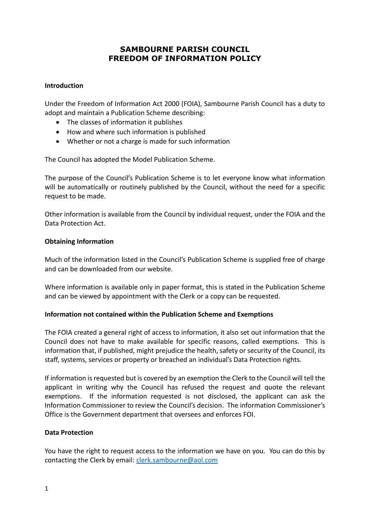# **SAMBOURNE PARISH COUNCIL FREEDOM OF INFORMATION POLICY**

#### **Introduction**

Under the Freedom of Information Act 2000 (FOIA), Sambourne Parish Council has a duty to adopt and maintain a Publication Scheme describing:

- The classes of information it publishes
- How and where such information is published
- Whether or not a charge is made for such information

The Council has adopted the Model Publication Scheme.

The purpose of the Council's Publication Scheme is to let everyone know what information will be automatically or routinely published by the Council, without the need for a specific request to be made.

Other information is available from the Council by individual request, under the FOIA and the Data Protection Act.

#### **Obtaining Information**

Much of the information listed in the Council's Publication Scheme is supplied free of charge and can be downloaded from our website.

Where information is available only in paper format, this is stated in the Publication Scheme and can be viewed by appointment with the Clerk or a copy can be requested.

## **Information not contained within the Publication Scheme and Exemptions**

The FOIA created a general right of access to information, it also set out information that the Council does not have to make available for specific reasons, called exemptions. This is information that, if published, might prejudice the health, safety or security of the Council, its staff, systems, services or property or breached an individual's Data Protection rights.

If information is requested but is covered by an exemption the Clerk to the Council will tell the applicant in writing why the Council has refused the request and quote the relevant exemptions. If the information requested is not disclosed, the applicant can ask the Information Commissioner to review the Council's decision. The information Commissioner's Office is the Government department that oversees and enforces FOI.

## **Data Protection**

You have the right to request access to the information we have on you. You can do this by contacting the Clerk by email: [clerk.sambourne@aol.com](mailto:clerk.sambourne@aol.com)